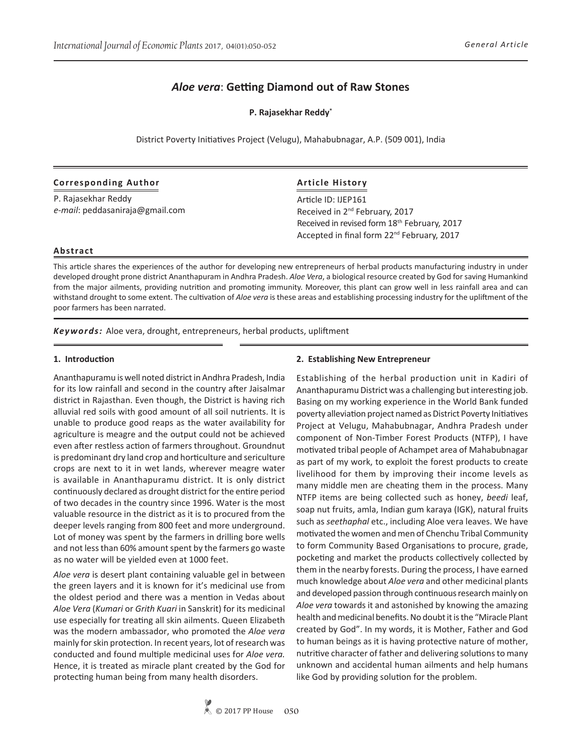# *Aloe vera*: **Getting Diamond out of Raw Stones**

**P. Rajasekhar Reddy\***

District Poverty Initiatives Project (Velugu), Mahabubnagar, A.P. (509 001), India

### **Corresponding Author**

P. Rajasekhar Reddy *e-mail*: peddasaniraja@gmail.com

# **Article History**

Article ID: IJEP161 Received in 2<sup>nd</sup> February, 2017 Received in revised form 18<sup>th</sup> February, 2017 Accepted in final form 22nd February, 2017

### **Abstract**

This article shares the experiences of the author for developing new entrepreneurs of herbal products manufacturing industry in under developed drought prone district Ananthapuram in Andhra Pradesh. *Aloe Vera*, a biological resource created by God for saving Humankind from the major ailments, providing nutrition and promoting immunity. Moreover, this plant can grow well in less rainfall area and can withstand drought to some extent. The cultivation of *Aloe vera* is these areas and establishing processing industry for the upliftment of the poor farmers has been narrated.

*Keywords:* Aloe vera, drought, entrepreneurs, herbal products, upliftment

### **1. Introduction**

Ananthapuramu is well noted district in Andhra Pradesh, India for its low rainfall and second in the country after Jaisalmar district in Rajasthan. Even though, the District is having rich alluvial red soils with good amount of all soil nutrients. It is unable to produce good reaps as the water availability for agriculture is meagre and the output could not be achieved even after restless action of farmers throughout. Groundnut is predominant dry land crop and horticulture and sericulture crops are next to it in wet lands, wherever meagre water is available in Ananthapuramu district. It is only district continuously declared as drought district for the entire period of two decades in the country since 1996. Water is the most valuable resource in the district as it is to procured from the deeper levels ranging from 800 feet and more underground. Lot of money was spent by the farmers in drilling bore wells and not less than 60% amount spent by the farmers go waste as no water will be yielded even at 1000 feet.

*Aloe vera* is desert plant containing valuable gel in between the green layers and it is known for it's medicinal use from the oldest period and there was a mention in Vedas about *Aloe Vera* (*Kumari* or *Grith Kuari* in Sanskrit) for its medicinal use especially for treating all skin ailments. Queen Elizabeth was the modern ambassador, who promoted the *Aloe vera* mainly for skin protection. In recent years, lot of research was conducted and found multiple medicinal uses for *Aloe vera.* Hence, it is treated as miracle plant created by the God for protecting human being from many health disorders.

#### **2. Establishing New Entrepreneur**

Establishing of the herbal production unit in Kadiri of Ananthapuramu District was a challenging but interesting job. Basing on my working experience in the World Bank funded poverty alleviation project named as District Poverty Initiatives Project at Velugu, Mahabubnagar, Andhra Pradesh under component of Non-Timber Forest Products (NTFP), I have motivated tribal people of Achampet area of Mahabubnagar as part of my work, to exploit the forest products to create livelihood for them by improving their income levels as many middle men are cheating them in the process. Many NTFP items are being collected such as honey, *beedi* leaf, soap nut fruits, amla, Indian gum karaya (IGK), natural fruits such as *seethaphal* etc., including Aloe vera leaves. We have motivated the women and men of Chenchu Tribal Community to form Community Based Organisations to procure, grade, pocketing and market the products collectively collected by them in the nearby forests. During the process, I have earned much knowledge about *Aloe vera* and other medicinal plants and developed passion through continuous research mainly on *Aloe vera* towards it and astonished by knowing the amazing health and medicinal benefits. No doubt it is the "Miracle Plant created by God". In my words, it is Mother, Father and God to human beings as it is having protective nature of mother, nutritive character of father and delivering solutions to many unknown and accidental human ailments and help humans like God by providing solution for the problem.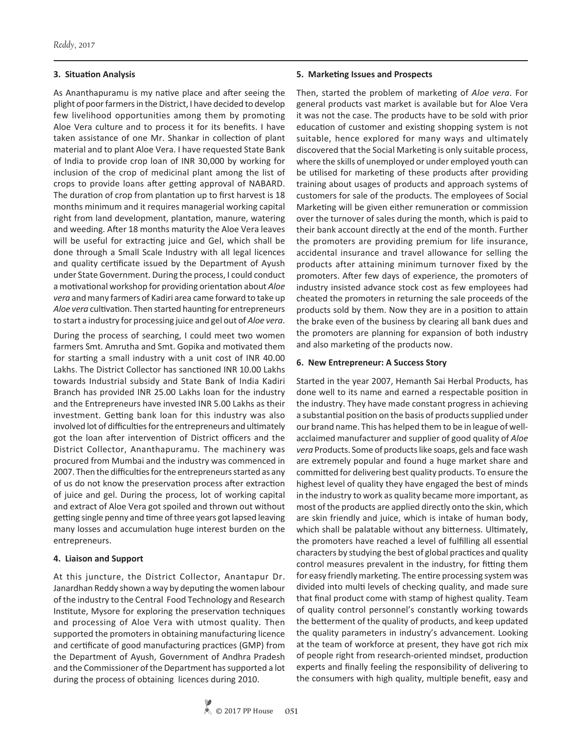# **3. Situation Analysis**

As Ananthapuramu is my native place and after seeing the plight of poor farmers in the District, I have decided to develop few livelihood opportunities among them by promoting Aloe Vera culture and to process it for its benefits. I have taken assistance of one Mr. Shankar in collection of plant material and to plant Aloe Vera. I have requested State Bank of India to provide crop loan of INR 30,000 by working for inclusion of the crop of medicinal plant among the list of crops to provide loans after getting approval of NABARD. The duration of crop from plantation up to first harvest is 18 months minimum and it requires managerial working capital right from land development, plantation, manure, watering and weeding. After 18 months maturity the Aloe Vera leaves will be useful for extracting juice and Gel, which shall be done through a Small Scale Industry with all legal licences and quality certificate issued by the Department of Ayush under State Government. During the process, I could conduct a motivational workshop for providing orientation about *Aloe vera* and many farmers of Kadiri area came forward to take up *Aloe vera* cultivation. Then started haunting for entrepreneurs to start a industry for processing juice and gel out of *Aloe vera*.

During the process of searching, I could meet two women farmers Smt. Amrutha and Smt. Gopika and motivated them for starting a small industry with a unit cost of INR 40.00 Lakhs. The District Collector has sanctioned INR 10.00 Lakhs towards Industrial subsidy and State Bank of India Kadiri Branch has provided INR 25.00 Lakhs loan for the industry and the Entrepreneurs have invested INR 5.00 Lakhs as their investment. Getting bank loan for this industry was also involved lot of difficulties for the entrepreneurs and ultimately got the loan after intervention of District officers and the District Collector, Ananthapuramu. The machinery was procured from Mumbai and the industry was commenced in 2007. Then the difficulties for the entrepreneurs started as any of us do not know the preservation process after extraction of juice and gel. During the process, lot of working capital and extract of Aloe Vera got spoiled and thrown out without getting single penny and time of three years got lapsed leaving many losses and accumulation huge interest burden on the entrepreneurs.

# **4. Liaison and Support**

At this juncture, the District Collector, Anantapur Dr. Janardhan Reddy shown a way by deputing the women labour of the industry to the Central Food Technology and Research Institute, Mysore for exploring the preservation techniques and processing of Aloe Vera with utmost quality. Then supported the promoters in obtaining manufacturing licence and certificate of good manufacturing practices (GMP) from the Department of Ayush, Government of Andhra Pradesh and the Commissioner of the Department has supported a lot during the process of obtaining licences during 2010.

# **5. Marketing Issues and Prospects**

Then, started the problem of marketing of *Aloe vera*. For general products vast market is available but for Aloe Vera it was not the case. The products have to be sold with prior education of customer and existing shopping system is not suitable, hence explored for many ways and ultimately discovered that the Social Marketing is only suitable process, where the skills of unemployed or under employed youth can be utilised for marketing of these products after providing training about usages of products and approach systems of customers for sale of the products. The employees of Social Marketing will be given either remuneration or commission over the turnover of sales during the month, which is paid to their bank account directly at the end of the month. Further the promoters are providing premium for life insurance, accidental insurance and travel allowance for selling the products after attaining minimum turnover fixed by the promoters. After few days of experience, the promoters of industry insisted advance stock cost as few employees had cheated the promoters in returning the sale proceeds of the products sold by them. Now they are in a position to attain the brake even of the business by clearing all bank dues and the promoters are planning for expansion of both industry and also marketing of the products now.

# **6. New Entrepreneur: A Success Story**

Started in the year 2007, Hemanth Sai Herbal Products, has done well to its name and earned a respectable position in the industry. They have made constant progress in achieving a substantial position on the basis of products supplied under our brand name. This has helped them to be in league of wellacclaimed manufacturer and supplier of good quality of *Aloe vera* Products. Some of products like soaps, gels and face wash are extremely popular and found a huge market share and committed for delivering best quality products. To ensure the highest level of quality they have engaged the best of minds in the industry to work as quality became more important, as most of the products are applied directly onto the skin, which are skin friendly and juice, which is intake of human body, which shall be palatable without any bitterness. Ultimately, the promoters have reached a level of fulfilling all essential characters by studying the best of global practices and quality control measures prevalent in the industry, for fitting them for easy friendly marketing. The entire processing system was divided into multi levels of checking quality, and made sure that final product come with stamp of highest quality. Team of quality control personnel's constantly working towards the betterment of the quality of products, and keep updated the quality parameters in industry's advancement. Looking at the team of workforce at present, they have got rich mix of people right from research-oriented mindset, production experts and finally feeling the responsibility of delivering to the consumers with high quality, multiple benefit, easy and